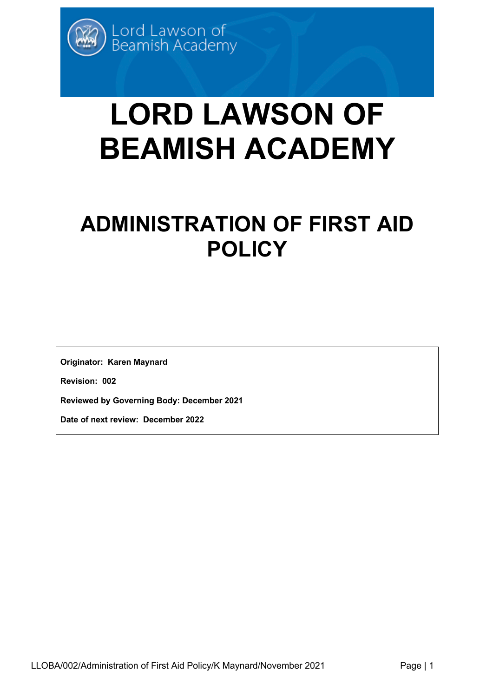# **LORD LAWSON OF BEAMISH ACADEMY**

# **ADMINISTRATION OF FIRST AID POLICY**

**Originator: Karen Maynard**

**Revision: 002**

**Reviewed by Governing Body: December 2021**

**Date of next review: December 2022**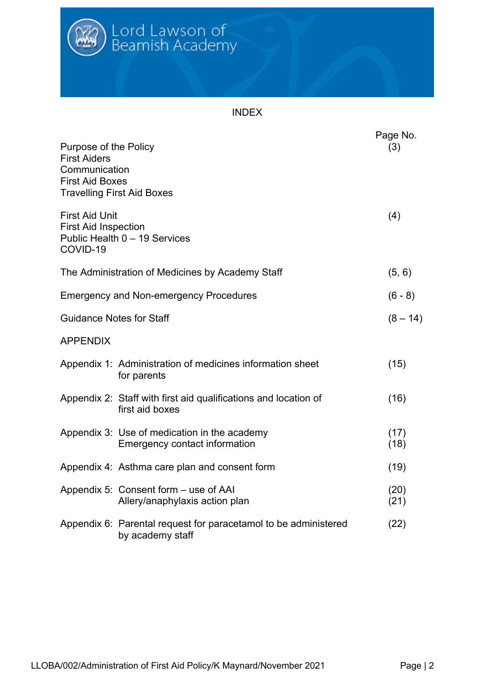

#### INDEX

| Purpose of the Policy<br><b>First Aiders</b><br>Communication<br><b>First Aid Boxes</b><br><b>Travelling First Aid Boxes</b> |                                                                                     | Page No.<br>(3) |
|------------------------------------------------------------------------------------------------------------------------------|-------------------------------------------------------------------------------------|-----------------|
| <b>First Aid Unit</b><br><b>First Aid Inspection</b><br>COVID-19                                                             | Public Health 0 - 19 Services                                                       | (4)             |
|                                                                                                                              | The Administration of Medicines by Academy Staff                                    | (5, 6)          |
|                                                                                                                              | <b>Emergency and Non-emergency Procedures</b>                                       | $(6 - 8)$       |
| <b>Guidance Notes for Staff</b>                                                                                              |                                                                                     | $(8 - 14)$      |
| <b>APPENDIX</b>                                                                                                              |                                                                                     |                 |
|                                                                                                                              | Appendix 1: Administration of medicines information sheet<br>for parents            | (15)            |
|                                                                                                                              | Appendix 2: Staff with first aid qualifications and location of<br>first aid boxes  | (16)            |
|                                                                                                                              | Appendix 3: Use of medication in the academy<br>Emergency contact information       | (17)<br>(18)    |
|                                                                                                                              | Appendix 4: Asthma care plan and consent form                                       | (19)            |
|                                                                                                                              | Appendix 5: Consent form – use of AAI<br>Allery/anaphylaxis action plan             | (20)<br>(21)    |
|                                                                                                                              | Appendix 6: Parental request for paracetamol to be administered<br>by academy staff | (22)            |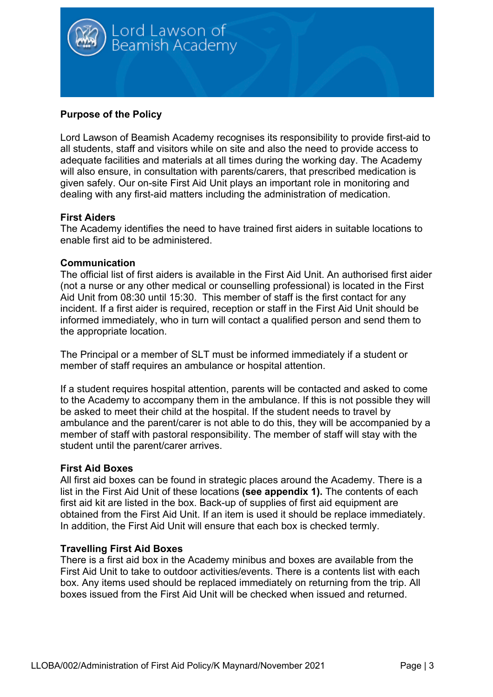

#### **Purpose of the Policy**

Lord Lawson of Beamish Academy recognises its responsibility to provide first-aid to all students, staff and visitors while on site and also the need to provide access to adequate facilities and materials at all times during the working day. The Academy will also ensure, in consultation with parents/carers, that prescribed medication is given safely. Our on-site First Aid Unit plays an important role in monitoring and dealing with any first-aid matters including the administration of medication.

#### **First Aiders**

The Academy identifies the need to have trained first aiders in suitable locations to enable first aid to be administered.

#### **Communication**

The official list of first aiders is available in the First Aid Unit. An authorised first aider (not a nurse or any other medical or counselling professional) is located in the First Aid Unit from 08:30 until 15:30. This member of staff is the first contact for any incident. If a first aider is required, reception or staff in the First Aid Unit should be informed immediately, who in turn will contact a qualified person and send them to the appropriate location.

The Principal or a member of SLT must be informed immediately if a student or member of staff requires an ambulance or hospital attention.

If a student requires hospital attention, parents will be contacted and asked to come to the Academy to accompany them in the ambulance. If this is not possible they will be asked to meet their child at the hospital. If the student needs to travel by ambulance and the parent/carer is not able to do this, they will be accompanied by a member of staff with pastoral responsibility. The member of staff will stay with the student until the parent/carer arrives.

#### **First Aid Boxes**

All first aid boxes can be found in strategic places around the Academy. There is a list in the First Aid Unit of these locations **(see appendix 1).** The contents of each first aid kit are listed in the box. Back-up of supplies of first aid equipment are obtained from the First Aid Unit. If an item is used it should be replace immediately. In addition, the First Aid Unit will ensure that each box is checked termly.

#### **Travelling First Aid Boxes**

There is a first aid box in the Academy minibus and boxes are available from the First Aid Unit to take to outdoor activities/events. There is a contents list with each box. Any items used should be replaced immediately on returning from the trip. All boxes issued from the First Aid Unit will be checked when issued and returned.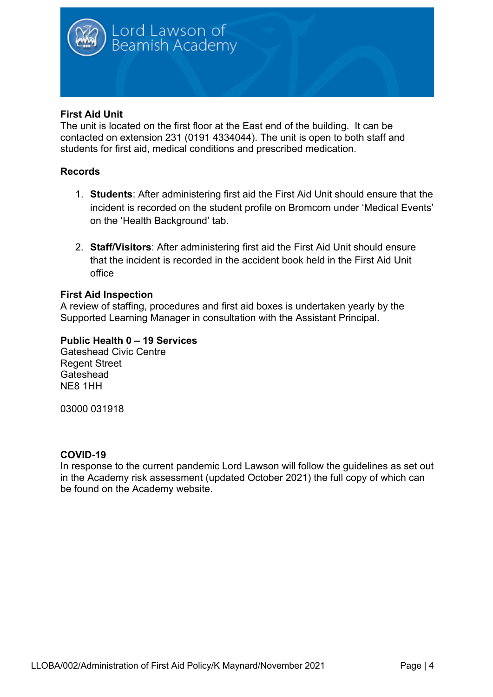

#### **First Aid Unit**

The unit is located on the first floor at the East end of the building. It can be contacted on extension 231 (0191 4334044). The unit is open to both staff and students for first aid, medical conditions and prescribed medication.

#### **Records**

- 1. **Students**: After administering first aid the First Aid Unit should ensure that the incident is recorded on the student profile on Bromcom under 'Medical Events' on the 'Health Background' tab.
- 2. **Staff/Visitors**: After administering first aid the First Aid Unit should ensure that the incident is recorded in the accident book held in the First Aid Unit office

#### **First Aid Inspection**

A review of staffing, procedures and first aid boxes is undertaken yearly by the Supported Learning Manager in consultation with the Assistant Principal.

#### **Public Health 0 – 19 Services**

Gateshead Civic Centre Regent Street **Gateshead** NE8 1HH

03000 031918

#### **COVID-19**

In response to the current pandemic Lord Lawson will follow the guidelines as set out in the Academy risk assessment (updated October 2021) the full copy of which can be found on the Academy website.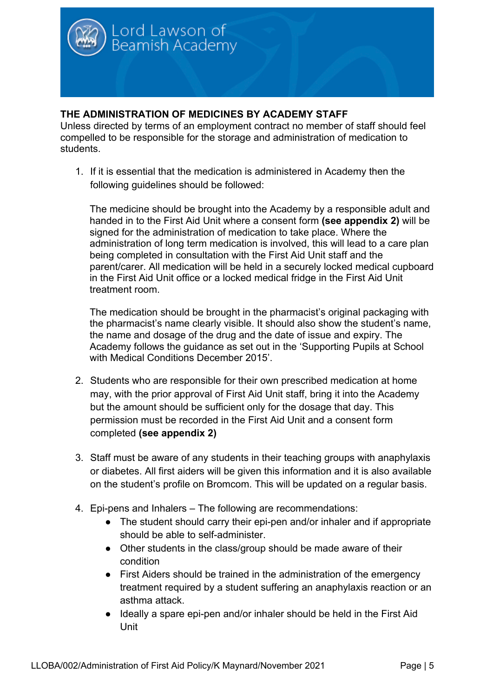

#### **THE ADMINISTRATION OF MEDICINES BY ACADEMY STAFF**

Unless directed by terms of an employment contract no member of staff should feel compelled to be responsible for the storage and administration of medication to students.

1. If it is essential that the medication is administered in Academy then the following guidelines should be followed:

The medicine should be brought into the Academy by a responsible adult and handed in to the First Aid Unit where a consent form **(see appendix 2)** will be signed for the administration of medication to take place. Where the administration of long term medication is involved, this will lead to a care plan being completed in consultation with the First Aid Unit staff and the parent/carer. All medication will be held in a securely locked medical cupboard in the First Aid Unit office or a locked medical fridge in the First Aid Unit treatment room.

The medication should be brought in the pharmacist's original packaging with the pharmacist's name clearly visible. It should also show the student's name, the name and dosage of the drug and the date of issue and expiry. The Academy follows the guidance as set out in the 'Supporting Pupils at School with Medical Conditions December 2015'.

- 2. Students who are responsible for their own prescribed medication at home may, with the prior approval of First Aid Unit staff, bring it into the Academy but the amount should be sufficient only for the dosage that day. This permission must be recorded in the First Aid Unit and a consent form completed **(see appendix 2)**
- 3. Staff must be aware of any students in their teaching groups with anaphylaxis or diabetes. All first aiders will be given this information and it is also available on the student's profile on Bromcom. This will be updated on a regular basis.
- 4. Epi-pens and Inhalers The following are recommendations:
	- The student should carry their epi-pen and/or inhaler and if appropriate should be able to self-administer.
	- Other students in the class/group should be made aware of their condition
	- First Aiders should be trained in the administration of the emergency treatment required by a student suffering an anaphylaxis reaction or an asthma attack.
	- Ideally a spare epi-pen and/or inhaler should be held in the First Aid Unit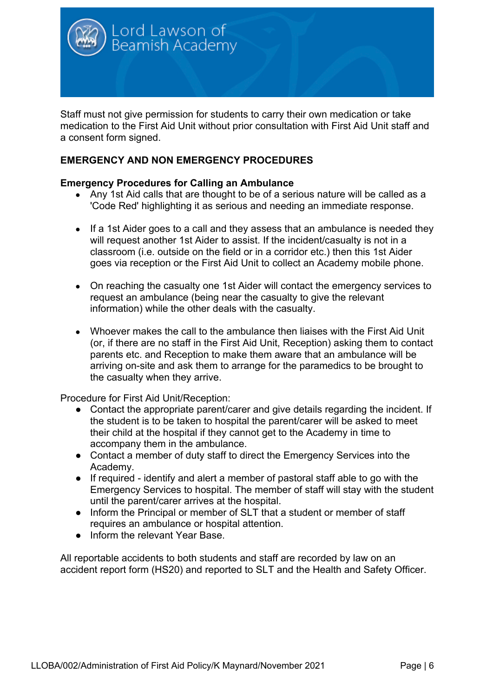

Staff must not give permission for students to carry their own medication or take medication to the First Aid Unit without prior consultation with First Aid Unit staff and a consent form signed.

#### **EMERGENCY AND NON EMERGENCY PROCEDURES**

#### **Emergency Procedures for Calling an Ambulance**

- Any 1st Aid calls that are thought to be of a serious nature will be called as a 'Code Red' highlighting it as serious and needing an immediate response.
- If a 1st Aider goes to a call and they assess that an ambulance is needed they will request another 1st Aider to assist. If the incident/casualty is not in a classroom (i.e. outside on the field or in a corridor etc.) then this 1st Aider goes via reception or the First Aid Unit to collect an Academy mobile phone.
- On reaching the casualty one 1st Aider will contact the emergency services to request an ambulance (being near the casualty to give the relevant information) while the other deals with the casualty.
- Whoever makes the call to the ambulance then liaises with the First Aid Unit (or, if there are no staff in the First Aid Unit, Reception) asking them to contact parents etc. and Reception to make them aware that an ambulance will be arriving on-site and ask them to arrange for the paramedics to be brought to the casualty when they arrive.

Procedure for First Aid Unit/Reception:

- Contact the appropriate parent/carer and give details regarding the incident. If the student is to be taken to hospital the parent/carer will be asked to meet their child at the hospital if they cannot get to the Academy in time to accompany them in the ambulance.
- Contact a member of duty staff to direct the Emergency Services into the Academy.
- If required identify and alert a member of pastoral staff able to go with the Emergency Services to hospital. The member of staff will stay with the student until the parent/carer arrives at the hospital.
- Inform the Principal or member of SLT that a student or member of staff requires an ambulance or hospital attention.
- Inform the relevant Year Base

All reportable accidents to both students and staff are recorded by law on an accident report form (HS20) and reported to SLT and the Health and Safety Officer.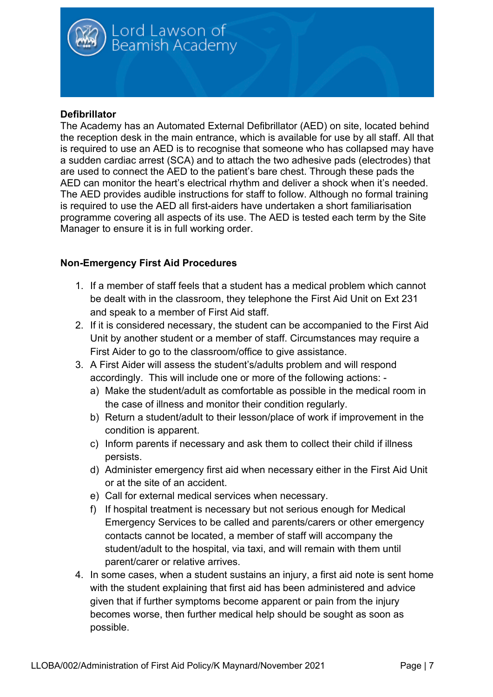

#### **Defibrillator**

The Academy has an Automated External Defibrillator (AED) on site, located behind the reception desk in the main entrance, which is available for use by all staff. All that is required to use an AED is to recognise that someone who has collapsed may have a sudden cardiac arrest (SCA) and to attach the two adhesive pads (electrodes) that are used to connect the AED to the patient's bare chest. Through these pads the AED can monitor the heart's electrical rhythm and deliver a shock when it's needed. The AED provides audible instructions for staff to follow. Although no formal training is required to use the AED all first-aiders have undertaken a short familiarisation programme covering all aspects of its use. The AED is tested each term by the Site Manager to ensure it is in full working order.

#### **Non-Emergency First Aid Procedures**

- 1. If a member of staff feels that a student has a medical problem which cannot be dealt with in the classroom, they telephone the First Aid Unit on Ext 231 and speak to a member of First Aid staff.
- 2. If it is considered necessary, the student can be accompanied to the First Aid Unit by another student or a member of staff. Circumstances may require a First Aider to go to the classroom/office to give assistance.
- 3. A First Aider will assess the student's/adults problem and will respond accordingly. This will include one or more of the following actions:
	- a) Make the student/adult as comfortable as possible in the medical room in the case of illness and monitor their condition regularly.
	- b) Return a student/adult to their lesson/place of work if improvement in the condition is apparent.
	- c) Inform parents if necessary and ask them to collect their child if illness persists.
	- d) Administer emergency first aid when necessary either in the First Aid Unit or at the site of an accident.
	- e) Call for external medical services when necessary.
	- f) If hospital treatment is necessary but not serious enough for Medical Emergency Services to be called and parents/carers or other emergency contacts cannot be located, a member of staff will accompany the student/adult to the hospital, via taxi, and will remain with them until parent/carer or relative arrives.
- 4. In some cases, when a student sustains an injury, a first aid note is sent home with the student explaining that first aid has been administered and advice given that if further symptoms become apparent or pain from the injury becomes worse, then further medical help should be sought as soon as possible.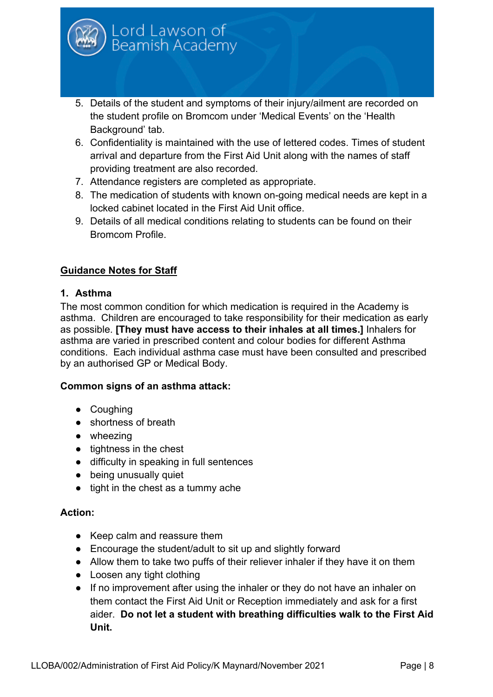

- 5. Details of the student and symptoms of their injury/ailment are recorded on the student profile on Bromcom under 'Medical Events' on the 'Health Background' tab.
- 6. Confidentiality is maintained with the use of lettered codes. Times of student arrival and departure from the First Aid Unit along with the names of staff providing treatment are also recorded.
- 7. Attendance registers are completed as appropriate.
- 8. The medication of students with known on-going medical needs are kept in a locked cabinet located in the First Aid Unit office.
- 9. Details of all medical conditions relating to students can be found on their Bromcom Profile.

#### **Guidance Notes for Staff**

#### **1. Asthma**

The most common condition for which medication is required in the Academy is asthma. Children are encouraged to take responsibility for their medication as early as possible. **[They must have access to their inhales at all times.]** Inhalers for asthma are varied in prescribed content and colour bodies for different Asthma conditions. Each individual asthma case must have been consulted and prescribed by an authorised GP or Medical Body.

#### **Common signs of an asthma attack:**

- Coughing
- shortness of breath
- wheezing
- tightness in the chest
- difficulty in speaking in full sentences
- being unusually quiet
- tight in the chest as a tummy ache

#### **Action:**

- Keep calm and reassure them
- Encourage the student/adult to sit up and slightly forward
- Allow them to take two puffs of their reliever inhaler if they have it on them
- Loosen any tight clothing
- If no improvement after using the inhaler or they do not have an inhaler on them contact the First Aid Unit or Reception immediately and ask for a first aider. **Do not let a student with breathing difficulties walk to the First Aid Unit.**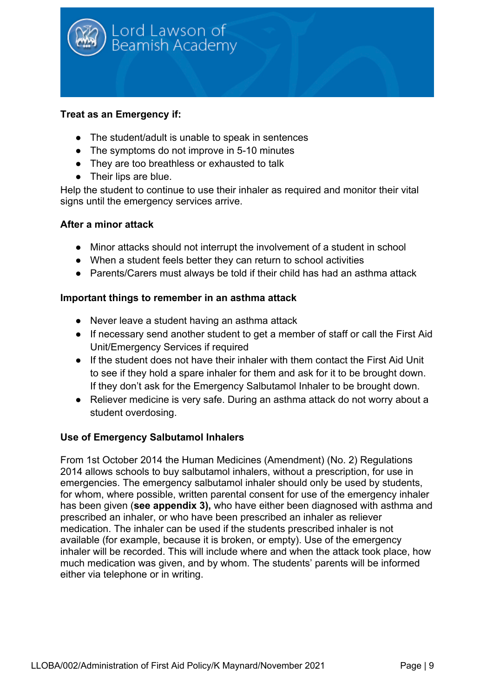

#### **Treat as an Emergency if:**

- The student/adult is unable to speak in sentences
- The symptoms do not improve in 5-10 minutes
- They are too breathless or exhausted to talk
- Their lips are blue.

Help the student to continue to use their inhaler as required and monitor their vital signs until the emergency services arrive.

#### **After a minor attack**

- Minor attacks should not interrupt the involvement of a student in school
- When a student feels better they can return to school activities
- Parents/Carers must always be told if their child has had an asthma attack

#### **Important things to remember in an asthma attack**

- Never leave a student having an asthma attack
- If necessary send another student to get a member of staff or call the First Aid Unit/Emergency Services if required
- If the student does not have their inhaler with them contact the First Aid Unit to see if they hold a spare inhaler for them and ask for it to be brought down. If they don't ask for the Emergency Salbutamol Inhaler to be brought down.
- Reliever medicine is very safe. During an asthma attack do not worry about a student overdosing.

#### **Use of Emergency Salbutamol Inhalers**

From 1st October 2014 the Human Medicines (Amendment) (No. 2) Regulations 2014 allows schools to buy salbutamol inhalers, without a prescription, for use in emergencies. The emergency salbutamol inhaler should only be used by students, for whom, where possible, written parental consent for use of the emergency inhaler has been given (**see appendix 3),** who have either been diagnosed with asthma and prescribed an inhaler, or who have been prescribed an inhaler as reliever medication. The inhaler can be used if the students prescribed inhaler is not available (for example, because it is broken, or empty). Use of the emergency inhaler will be recorded. This will include where and when the attack took place, how much medication was given, and by whom. The students' parents will be informed either via telephone or in writing.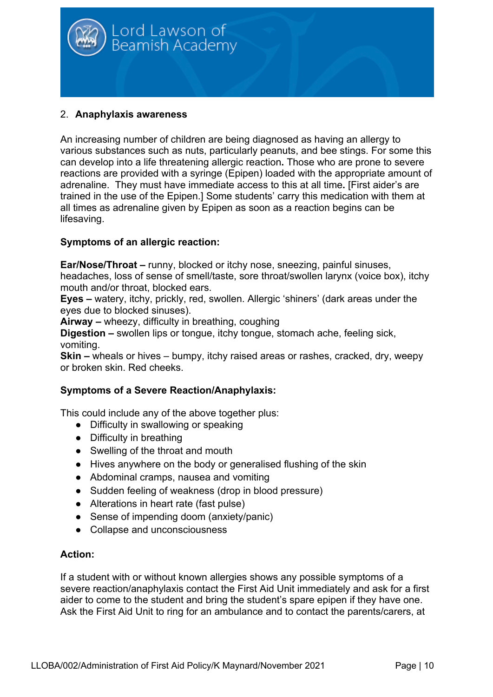

#### 2. **Anaphylaxis awareness**

An increasing number of children are being diagnosed as having an allergy to various substances such as nuts, particularly peanuts, and bee stings. For some this can develop into a life threatening allergic reaction**.** Those who are prone to severe reactions are provided with a syringe (Epipen) loaded with the appropriate amount of adrenaline. They must have immediate access to this at all time**.** [First aider's are trained in the use of the Epipen.] Some students' carry this medication with them at all times as adrenaline given by Epipen as soon as a reaction begins can be lifesaving.

#### **Symptoms of an allergic reaction:**

**Ear/Nose/Throat –** runny, blocked or itchy nose, sneezing, painful sinuses,

headaches, loss of sense of smell/taste, sore throat/swollen larynx (voice box), itchy mouth and/or throat, blocked ears.

**Eyes –** watery, itchy, prickly, red, swollen. Allergic 'shiners' (dark areas under the eyes due to blocked sinuses).

**Airway –** wheezy, difficulty in breathing, coughing

**Digestion –** swollen lips or tongue, itchy tongue, stomach ache, feeling sick, vomiting.

**Skin –** wheals or hives – bumpy, itchy raised areas or rashes, cracked, dry, weepy or broken skin. Red cheeks.

#### **Symptoms of a Severe Reaction/Anaphylaxis:**

This could include any of the above together plus:

- Difficulty in swallowing or speaking
- Difficulty in breathing
- Swelling of the throat and mouth
- Hives anywhere on the body or generalised flushing of the skin
- Abdominal cramps, nausea and vomiting
- Sudden feeling of weakness (drop in blood pressure)
- Alterations in heart rate (fast pulse)
- Sense of impending doom (anxiety/panic)
- Collapse and unconsciousness

#### **Action:**

If a student with or without known allergies shows any possible symptoms of a severe reaction/anaphylaxis contact the First Aid Unit immediately and ask for a first aider to come to the student and bring the student's spare epipen if they have one. Ask the First Aid Unit to ring for an ambulance and to contact the parents/carers, at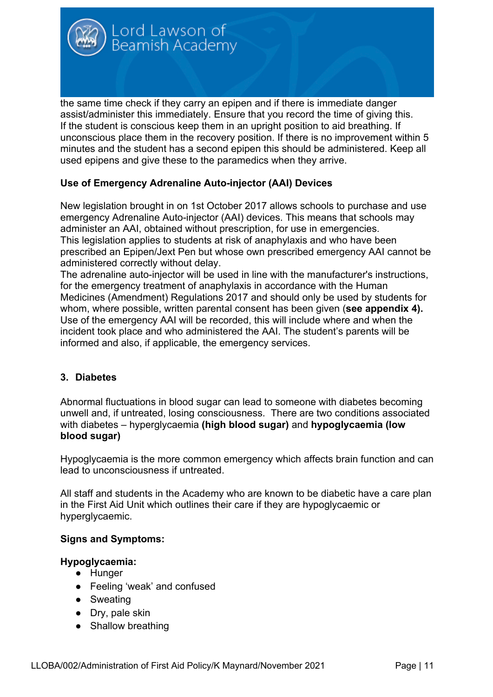

the same time check if they carry an epipen and if there is immediate danger assist/administer this immediately. Ensure that you record the time of giving this. If the student is conscious keep them in an upright position to aid breathing. If unconscious place them in the recovery position. If there is no improvement within 5 minutes and the student has a second epipen this should be administered. Keep all used epipens and give these to the paramedics when they arrive.

#### **Use of Emergency Adrenaline Auto-injector (AAI) Devices**

New legislation brought in on 1st October 2017 allows schools to purchase and use emergency Adrenaline Auto-injector (AAI) devices. This means that schools may administer an AAI, obtained without prescription, for use in emergencies. This legislation applies to students at risk of anaphylaxis and who have been prescribed an Epipen/Jext Pen but whose own prescribed emergency AAI cannot be administered correctly without delay.

The adrenaline auto-injector will be used in line with the manufacturer's instructions, for the emergency treatment of anaphylaxis in accordance with the Human Medicines (Amendment) Regulations 2017 and should only be used by students for whom, where possible, written parental consent has been given (**see appendix 4).** Use of the emergency AAI will be recorded, this will include where and when the incident took place and who administered the AAI. The student's parents will be informed and also, if applicable, the emergency services.

#### **3. Diabetes**

Abnormal fluctuations in blood sugar can lead to someone with diabetes becoming unwell and, if untreated, losing consciousness. There are two conditions associated with diabetes – hyperglycaemia **(high blood sugar)** and **hypoglycaemia (low blood sugar)**

Hypoglycaemia is the more common emergency which affects brain function and can lead to unconsciousness if untreated.

All staff and students in the Academy who are known to be diabetic have a care plan in the First Aid Unit which outlines their care if they are hypoglycaemic or hyperglycaemic.

#### **Signs and Symptoms:**

#### **Hypoglycaemia:**

- Hunger
- Feeling 'weak' and confused
- Sweating
- Dry, pale skin
- Shallow breathing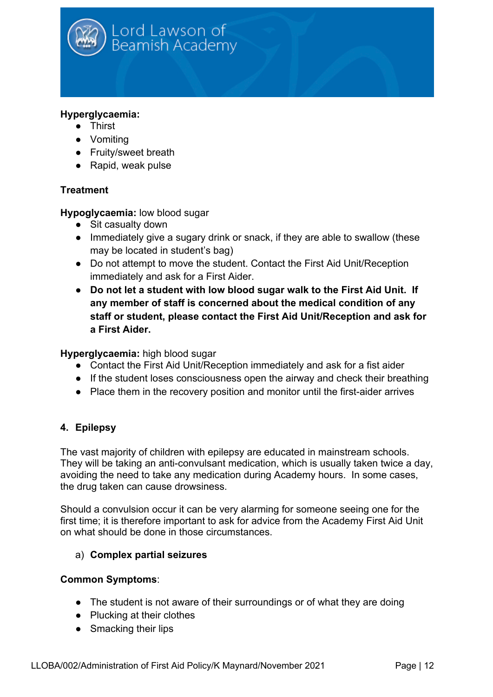

#### **Hyperglycaemia:**

- Thirst
- Vomiting
- Fruity/sweet breath
- Rapid, weak pulse

#### **Treatment**

#### **Hypoglycaemia:** low blood sugar

- Sit casualty down
- Immediately give a sugary drink or snack, if they are able to swallow (these may be located in student's bag)
- Do not attempt to move the student. Contact the First Aid Unit/Reception immediately and ask for a First Aider.
- **Do not let a student with low blood sugar walk to the First Aid Unit. If any member of staff is concerned about the medical condition of any staff or student, please contact the First Aid Unit/Reception and ask for a First Aider.**

#### **Hyperglycaemia:** high blood sugar

- Contact the First Aid Unit/Reception immediately and ask for a fist aider
- If the student loses consciousness open the airway and check their breathing
- Place them in the recovery position and monitor until the first-aider arrives

#### **4. Epilepsy**

The vast majority of children with epilepsy are educated in mainstream schools. They will be taking an anti-convulsant medication, which is usually taken twice a day, avoiding the need to take any medication during Academy hours. In some cases, the drug taken can cause drowsiness.

Should a convulsion occur it can be very alarming for someone seeing one for the first time; it is therefore important to ask for advice from the Academy First Aid Unit on what should be done in those circumstances.

#### a) **Complex partial seizures**

#### **Common Symptoms**:

- The student is not aware of their surroundings or of what they are doing
- Plucking at their clothes
- Smacking their lips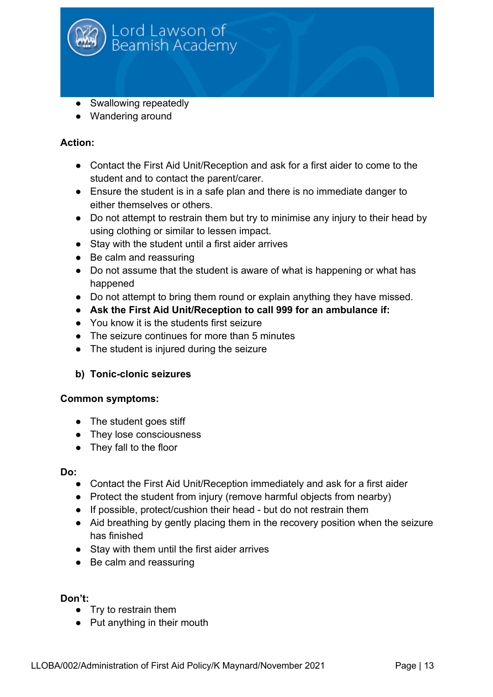

- Swallowing repeatedly
- Wandering around

#### **Action:**

- Contact the First Aid Unit/Reception and ask for a first aider to come to the student and to contact the parent/carer.
- Ensure the student is in a safe plan and there is no immediate danger to either themselves or others.
- Do not attempt to restrain them but try to minimise any injury to their head by using clothing or similar to lessen impact.
- Stay with the student until a first aider arrives
- Be calm and reassuring
- Do not assume that the student is aware of what is happening or what has happened
- Do not attempt to bring them round or explain anything they have missed.
- **Ask the First Aid Unit/Reception to call 999 for an ambulance if:**
- You know it is the students first seizure
- The seizure continues for more than 5 minutes
- The student is injured during the seizure

#### **b) Tonic-clonic seizures**

#### **Common symptoms:**

- The student goes stiff
- They lose consciousness
- They fall to the floor

#### **Do:**

- Contact the First Aid Unit/Reception immediately and ask for a first aider
- Protect the student from injury (remove harmful objects from nearby)
- If possible, protect/cushion their head but do not restrain them
- Aid breathing by gently placing them in the recovery position when the seizure has finished
- Stay with them until the first aider arrives
- Be calm and reassuring

#### **Don't:**

- Try to restrain them
- Put anything in their mouth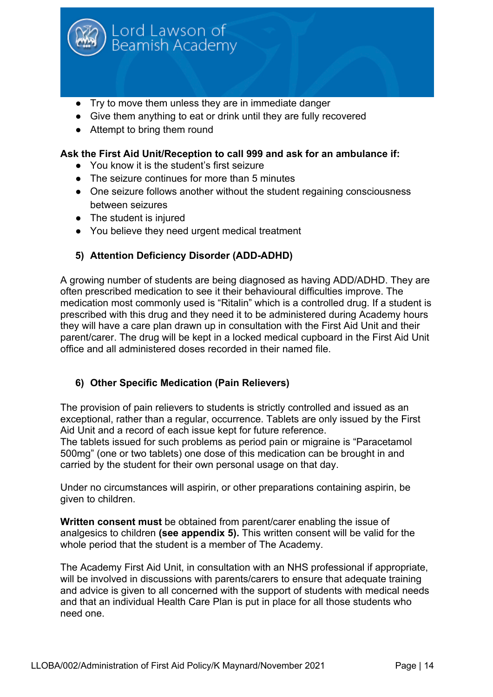

- Try to move them unless they are in immediate danger
- Give them anything to eat or drink until they are fully recovered
- Attempt to bring them round

#### **Ask the First Aid Unit/Reception to call 999 and ask for an ambulance if:**

- You know it is the student's first seizure
- The seizure continues for more than 5 minutes
- One seizure follows another without the student regaining consciousness between seizures
- The student is injured
- You believe they need urgent medical treatment

#### **5) Attention Deficiency Disorder (ADD-ADHD)**

A growing number of students are being diagnosed as having ADD/ADHD. They are often prescribed medication to see it their behavioural difficulties improve. The medication most commonly used is "Ritalin" which is a controlled drug. If a student is prescribed with this drug and they need it to be administered during Academy hours they will have a care plan drawn up in consultation with the First Aid Unit and their parent/carer. The drug will be kept in a locked medical cupboard in the First Aid Unit office and all administered doses recorded in their named file.

#### **6) Other Specific Medication (Pain Relievers)**

The provision of pain relievers to students is strictly controlled and issued as an exceptional, rather than a regular, occurrence. Tablets are only issued by the First Aid Unit and a record of each issue kept for future reference.

The tablets issued for such problems as period pain or migraine is "Paracetamol 500mg" (one or two tablets) one dose of this medication can be brought in and carried by the student for their own personal usage on that day.

Under no circumstances will aspirin, or other preparations containing aspirin, be given to children.

**Written consent must** be obtained from parent/carer enabling the issue of analgesics to children **(see appendix 5).** This written consent will be valid for the whole period that the student is a member of The Academy.

The Academy First Aid Unit, in consultation with an NHS professional if appropriate, will be involved in discussions with parents/carers to ensure that adequate training and advice is given to all concerned with the support of students with medical needs and that an individual Health Care Plan is put in place for all those students who need one.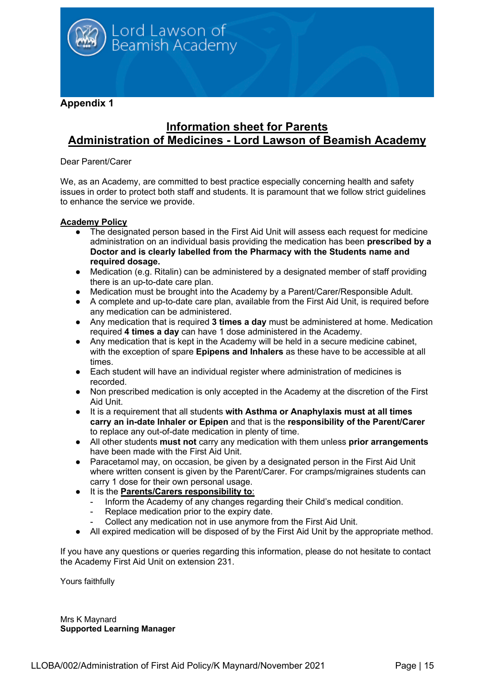

**Appendix 1**

## **Information sheet for Parents Administration of Medicines - Lord Lawson of Beamish Academy**

#### Dear Parent/Carer

We, as an Academy, are committed to best practice especially concerning health and safety issues in order to protect both staff and students. It is paramount that we follow strict guidelines to enhance the service we provide.

#### **Academy Policy**

- The designated person based in the First Aid Unit will assess each request for medicine administration on an individual basis providing the medication has been **prescribed by a Doctor and is clearly labelled from the Pharmacy with the Students name and required dosage.**
- Medication (e.g. Ritalin) can be administered by a designated member of staff providing there is an up-to-date care plan.
- Medication must be brought into the Academy by a Parent/Carer/Responsible Adult.
- A complete and up-to-date care plan, available from the First Aid Unit, is required before any medication can be administered.
- Any medication that is required **3 times a day** must be administered at home. Medication required **4 times a day** can have 1 dose administered in the Academy.
- Any medication that is kept in the Academy will be held in a secure medicine cabinet, with the exception of spare **Epipens and Inhalers** as these have to be accessible at all times.
- Each student will have an individual register where administration of medicines is recorded.
- Non prescribed medication is only accepted in the Academy at the discretion of the First Aid Unit.
- It is a requirement that all students **with Asthma or Anaphylaxis must at all times carry an in-date Inhaler or Epipen** and that is the **responsibility of the Parent/Carer** to replace any out-of-date medication in plenty of time.
- All other students **must not** carry any medication with them unless **prior arrangements** have been made with the First Aid Unit.
- Paracetamol may, on occasion, be given by a designated person in the First Aid Unit where written consent is given by the Parent/Carer. For cramps/migraines students can carry 1 dose for their own personal usage.
- It is the **Parents/Carers responsibility to**:
	- Inform the Academy of any changes regarding their Child's medical condition.
	- Replace medication prior to the expiry date.
	- Collect any medication not in use anymore from the First Aid Unit.
- All expired medication will be disposed of by the First Aid Unit by the appropriate method.

If you have any questions or queries regarding this information, please do not hesitate to contact the Academy First Aid Unit on extension 231.

Yours faithfully

Mrs K Maynard **Supported Learning Manager**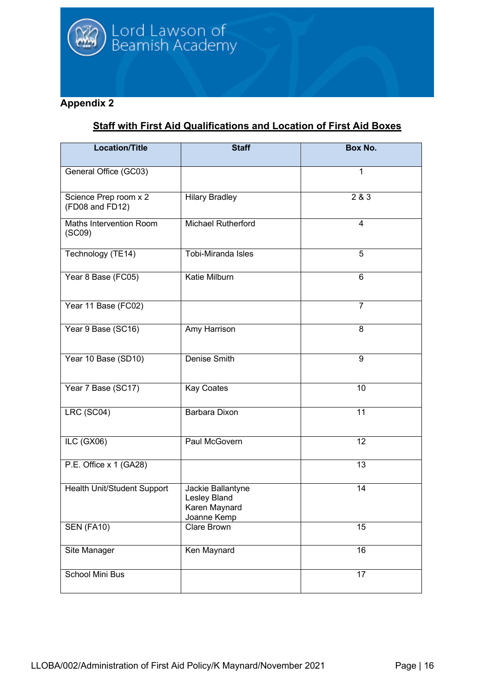#### **Appendix 2**

# **Staff with First Aid Qualifications and Location of First Aid Boxes**

| <b>Location/Title</b>                    | <b>Staff</b>                                                      | <b>Box No.</b> |
|------------------------------------------|-------------------------------------------------------------------|----------------|
| General Office (GC03)                    |                                                                   | 1              |
| Science Prep room x 2<br>(FD08 and FD12) | <b>Hilary Bradley</b>                                             | 2 & 3          |
| Maths Intervention Room<br>(SCO9)        | Michael Rutherford                                                | $\overline{4}$ |
| Technology (TE14)                        | Tobi-Miranda Isles                                                | 5              |
| Year 8 Base (FC05)                       | <b>Katie Milburn</b>                                              | 6              |
| Year 11 Base (FC02)                      |                                                                   | $\overline{7}$ |
| Year 9 Base (SC16)                       | Amy Harrison                                                      | 8              |
| Year 10 Base (SD10)                      | <b>Denise Smith</b>                                               | $\overline{9}$ |
| Year 7 Base (SC17)                       | <b>Kay Coates</b>                                                 | 10             |
| LRC (SC04)                               | Barbara Dixon                                                     | 11             |
| ILC (GX06)                               | Paul McGovern                                                     | 12             |
| P.E. Office x 1 (GA28)                   |                                                                   | 13             |
| Health Unit/Student Support              | Jackie Ballantyne<br>Lesley Bland<br>Karen Maynard<br>Joanne Kemp | 14             |
| <b>SEN (FA10)</b>                        | Clare Brown                                                       | 15             |
| Site Manager                             | Ken Maynard                                                       | 16             |
| <b>School Mini Bus</b>                   |                                                                   | 17             |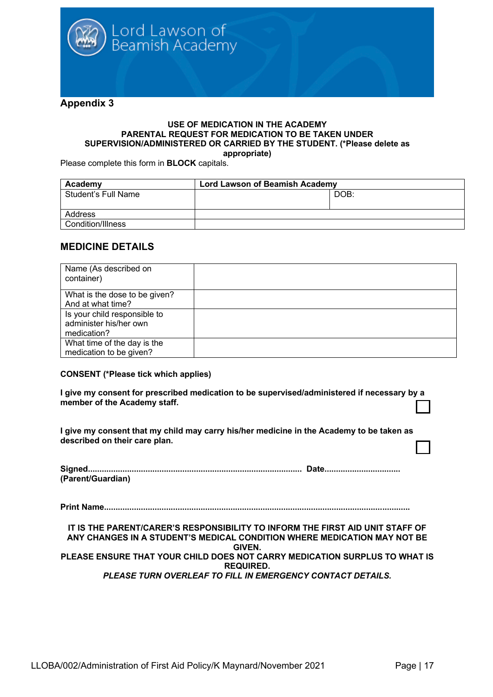

#### **USE OF MEDICATION IN THE ACADEMY PARENTAL REQUEST FOR MEDICATION TO BE TAKEN UNDER SUPERVISION/ADMINISTERED OR CARRIED BY THE STUDENT. (\*Please delete as appropriate)**

Please complete this form in **BLOCK** capitals.

| Academy             | <b>Lord Lawson of Beamish Academy</b> |      |
|---------------------|---------------------------------------|------|
| Student's Full Name |                                       | DOB: |
|                     |                                       |      |
| Address             |                                       |      |
| Condition/Illness   |                                       |      |

#### **MEDICINE DETAILS**

| Name (As described on<br>container) |  |
|-------------------------------------|--|
| What is the dose to be given?       |  |
| And at what time?                   |  |
| Is your child responsible to        |  |
| administer his/her own              |  |
| medication?                         |  |
| What time of the day is the         |  |
| medication to be given?             |  |

#### **CONSENT (\*Please tick which applies)**

**I give my consent for prescribed medication to be supervised/administered if necessary by a member of the Academy staff.**

**I give my consent that my child may carry his/her medicine in the Academy to be taken as described on their care plan.** 

| (Parent/Guardian) |  |
|-------------------|--|

**Print Name.....................................................................................................................................**

**IT IS THE PARENT/CARER'S RESPONSIBILITY TO INFORM THE FIRST AID UNIT STAFF OF ANY CHANGES IN A STUDENT'S MEDICAL CONDITION WHERE MEDICATION MAY NOT BE GIVEN. PLEASE ENSURE THAT YOUR CHILD DOES NOT CARRY MEDICATION SURPLUS TO WHAT IS REQUIRED.** *PLEASE TURN OVERLEAF TO FILL IN EMERGENCY CONTACT DETAILS.*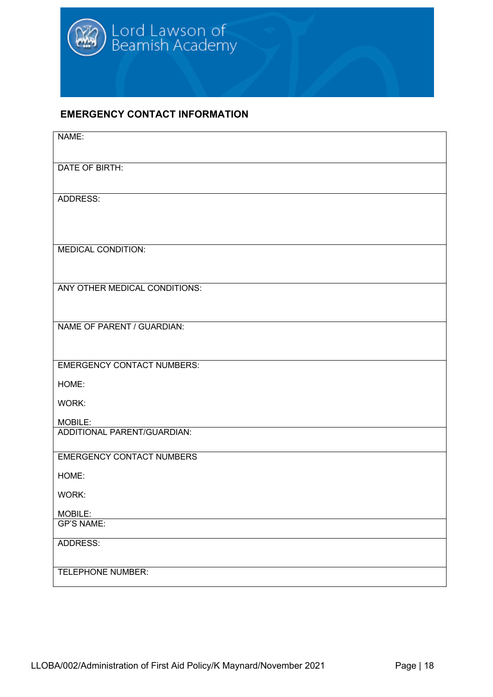#### **EMERGENCY CONTACT INFORMATION**

| NAME:                             |
|-----------------------------------|
| DATE OF BIRTH:                    |
|                                   |
| ADDRESS:                          |
|                                   |
|                                   |
| <b>MEDICAL CONDITION:</b>         |
|                                   |
| ANY OTHER MEDICAL CONDITIONS:     |
|                                   |
| NAME OF PARENT / GUARDIAN:        |
|                                   |
| <b>EMERGENCY CONTACT NUMBERS:</b> |
| HOME:                             |
| WORK:                             |
| MOBILE:                           |
| ADDITIONAL PARENT/GUARDIAN:       |
| <b>EMERGENCY CONTACT NUMBERS</b>  |
| HOME:                             |
| WORK:                             |
| MOBILE:<br><b>GP'S NAME:</b>      |
| ADDRESS:                          |
|                                   |
| <b>TELEPHONE NUMBER:</b>          |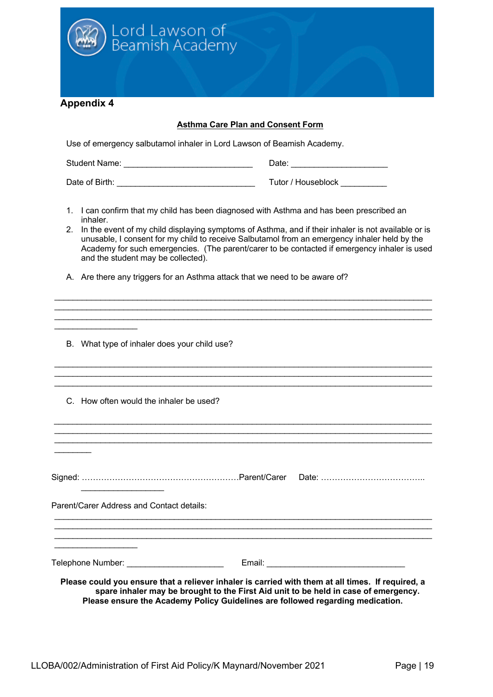

#### **Asthma Care Plan and Consent Form**

Use of emergency salbutamol inhaler in Lord Lawson of Beamish Academy.

Student Name: \_\_\_\_\_\_\_\_\_\_\_\_\_\_\_\_\_\_\_\_\_\_\_\_\_\_\_\_ Date: \_\_\_\_\_\_\_\_\_\_\_\_\_\_\_\_\_\_\_\_\_

Date of Birth: \_\_\_\_\_\_\_\_\_\_\_\_\_\_\_\_\_\_\_\_\_\_\_\_\_\_\_\_\_\_ Tutor / Houseblock \_\_\_\_\_\_\_\_\_\_

- 1. I can confirm that my child has been diagnosed with Asthma and has been prescribed an inhaler.
- 2. In the event of my child displaying symptoms of Asthma, and if their inhaler is not available or is unusable, I consent for my child to receive Salbutamol from an emergency inhaler held by the Academy for such emergencies. (The parent/carer to be contacted if emergency inhaler is used and the student may be collected).

\_\_\_\_\_\_\_\_\_\_\_\_\_\_\_\_\_\_\_\_\_\_\_\_\_\_\_\_\_\_\_\_\_\_\_\_\_\_\_\_\_\_\_\_\_\_\_\_\_\_\_\_\_\_\_\_\_\_\_\_\_\_\_\_\_\_\_\_\_\_\_\_\_\_\_\_\_\_\_\_\_\_ \_\_\_\_\_\_\_\_\_\_\_\_\_\_\_\_\_\_\_\_\_\_\_\_\_\_\_\_\_\_\_\_\_\_\_\_\_\_\_\_\_\_\_\_\_\_\_\_\_\_\_\_\_\_\_\_\_\_\_\_\_\_\_\_\_\_\_\_\_\_\_\_\_\_\_\_\_\_\_\_\_\_  $\mathcal{L}_\mathcal{L} = \mathcal{L}_\mathcal{L} = \mathcal{L}_\mathcal{L} = \mathcal{L}_\mathcal{L} = \mathcal{L}_\mathcal{L} = \mathcal{L}_\mathcal{L} = \mathcal{L}_\mathcal{L} = \mathcal{L}_\mathcal{L} = \mathcal{L}_\mathcal{L} = \mathcal{L}_\mathcal{L} = \mathcal{L}_\mathcal{L} = \mathcal{L}_\mathcal{L} = \mathcal{L}_\mathcal{L} = \mathcal{L}_\mathcal{L} = \mathcal{L}_\mathcal{L} = \mathcal{L}_\mathcal{L} = \mathcal{L}_\mathcal{L}$ 

 $\mathcal{L}_\mathcal{L} = \mathcal{L}_\mathcal{L} = \mathcal{L}_\mathcal{L} = \mathcal{L}_\mathcal{L} = \mathcal{L}_\mathcal{L} = \mathcal{L}_\mathcal{L} = \mathcal{L}_\mathcal{L} = \mathcal{L}_\mathcal{L} = \mathcal{L}_\mathcal{L} = \mathcal{L}_\mathcal{L} = \mathcal{L}_\mathcal{L} = \mathcal{L}_\mathcal{L} = \mathcal{L}_\mathcal{L} = \mathcal{L}_\mathcal{L} = \mathcal{L}_\mathcal{L} = \mathcal{L}_\mathcal{L} = \mathcal{L}_\mathcal{L}$ \_\_\_\_\_\_\_\_\_\_\_\_\_\_\_\_\_\_\_\_\_\_\_\_\_\_\_\_\_\_\_\_\_\_\_\_\_\_\_\_\_\_\_\_\_\_\_\_\_\_\_\_\_\_\_\_\_\_\_\_\_\_\_\_\_\_\_\_\_\_\_\_\_\_\_\_\_\_\_\_\_\_ \_\_\_\_\_\_\_\_\_\_\_\_\_\_\_\_\_\_\_\_\_\_\_\_\_\_\_\_\_\_\_\_\_\_\_\_\_\_\_\_\_\_\_\_\_\_\_\_\_\_\_\_\_\_\_\_\_\_\_\_\_\_\_\_\_\_\_\_\_\_\_\_\_\_\_\_\_\_\_\_\_\_

\_\_\_\_\_\_\_\_\_\_\_\_\_\_\_\_\_\_\_\_\_\_\_\_\_\_\_\_\_\_\_\_\_\_\_\_\_\_\_\_\_\_\_\_\_\_\_\_\_\_\_\_\_\_\_\_\_\_\_\_\_\_\_\_\_\_\_\_\_\_\_\_\_\_\_\_\_\_\_\_\_\_ \_\_\_\_\_\_\_\_\_\_\_\_\_\_\_\_\_\_\_\_\_\_\_\_\_\_\_\_\_\_\_\_\_\_\_\_\_\_\_\_\_\_\_\_\_\_\_\_\_\_\_\_\_\_\_\_\_\_\_\_\_\_\_\_\_\_\_\_\_\_\_\_\_\_\_\_\_\_\_\_\_\_ \_\_\_\_\_\_\_\_\_\_\_\_\_\_\_\_\_\_\_\_\_\_\_\_\_\_\_\_\_\_\_\_\_\_\_\_\_\_\_\_\_\_\_\_\_\_\_\_\_\_\_\_\_\_\_\_\_\_\_\_\_\_\_\_\_\_\_\_\_\_\_\_\_\_\_\_\_\_\_\_\_\_

A. Are there any triggers for an Asthma attack that we need to be aware of?

|  | B. What type of inhaler does your child use? |  |  |  |  |  |
|--|----------------------------------------------|--|--|--|--|--|
|--|----------------------------------------------|--|--|--|--|--|

C. How often would the inhaler be used?

Signed: …………………………………………………Parent/Carer Date: ………………………………..  $\mathcal{L}_\text{max}$  , where  $\mathcal{L}_\text{max}$  , we have the set of  $\mathcal{L}_\text{max}$ 

Parent/Carer Address and Contact details:

\_\_\_\_\_\_\_\_\_\_\_\_\_\_\_\_\_\_\_\_\_\_\_\_\_\_\_\_\_\_\_\_\_\_\_\_\_\_\_\_\_\_\_\_\_\_\_\_\_\_\_\_\_\_\_\_\_\_\_\_\_\_\_\_\_\_\_\_\_\_\_\_\_\_\_\_\_\_\_\_\_\_ \_\_\_\_\_\_\_\_\_\_\_\_\_\_\_\_\_\_

 $\mathcal{L}$ 

\_\_\_\_\_\_\_\_\_\_\_\_\_\_\_\_\_\_

Telephone Number: \_\_\_\_\_\_\_\_\_\_\_\_\_\_\_\_\_\_\_\_\_ Email: \_\_\_\_\_\_\_\_\_\_\_\_\_\_\_\_\_\_\_\_\_\_\_\_\_\_\_\_\_\_

**Please could you ensure that a reliever inhaler is carried with them at all times. If required, a spare inhaler may be brought to the First Aid unit to be held in case of emergency. Please ensure the Academy Policy Guidelines are followed regarding medication.**

 $\mathcal{L}_\mathcal{L} = \mathcal{L}_\mathcal{L} = \mathcal{L}_\mathcal{L} = \mathcal{L}_\mathcal{L} = \mathcal{L}_\mathcal{L} = \mathcal{L}_\mathcal{L} = \mathcal{L}_\mathcal{L} = \mathcal{L}_\mathcal{L} = \mathcal{L}_\mathcal{L} = \mathcal{L}_\mathcal{L} = \mathcal{L}_\mathcal{L} = \mathcal{L}_\mathcal{L} = \mathcal{L}_\mathcal{L} = \mathcal{L}_\mathcal{L} = \mathcal{L}_\mathcal{L} = \mathcal{L}_\mathcal{L} = \mathcal{L}_\mathcal{L}$  $\mathcal{L}_\mathcal{L} = \{ \mathcal{L}_\mathcal{L} = \{ \mathcal{L}_\mathcal{L} = \{ \mathcal{L}_\mathcal{L} = \{ \mathcal{L}_\mathcal{L} = \{ \mathcal{L}_\mathcal{L} = \{ \mathcal{L}_\mathcal{L} = \{ \mathcal{L}_\mathcal{L} = \{ \mathcal{L}_\mathcal{L} = \{ \mathcal{L}_\mathcal{L} = \{ \mathcal{L}_\mathcal{L} = \{ \mathcal{L}_\mathcal{L} = \{ \mathcal{L}_\mathcal{L} = \{ \mathcal{L}_\mathcal{L} = \{ \mathcal{L}_\mathcal{$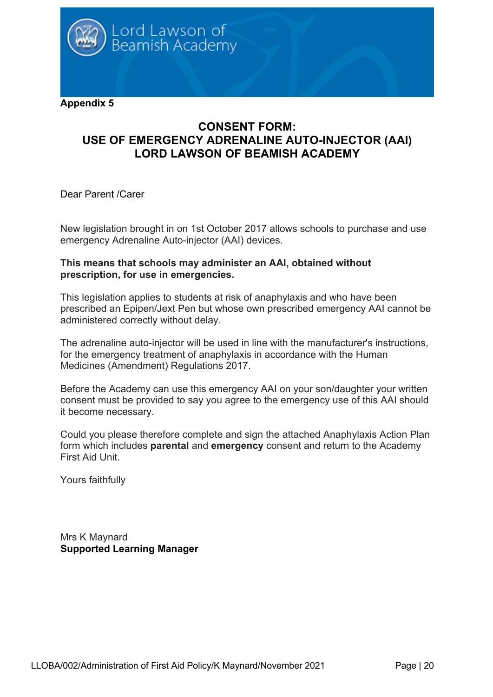

### **CONSENT FORM: USE OF EMERGENCY ADRENALINE AUTO-INJECTOR (AAI) LORD LAWSON OF BEAMISH ACADEMY**

Dear Parent /Carer

New legislation brought in on 1st October 2017 allows schools to purchase and use emergency Adrenaline Auto-injector (AAI) devices.

#### **This means that schools may administer an AAI, obtained without prescription, for use in emergencies.**

This legislation applies to students at risk of anaphylaxis and who have been prescribed an Epipen/Jext Pen but whose own prescribed emergency AAI cannot be administered correctly without delay.

The adrenaline auto-injector will be used in line with the manufacturer's instructions, for the emergency treatment of anaphylaxis in accordance with the Human Medicines (Amendment) Regulations 2017.

Before the Academy can use this emergency AAI on your son/daughter your written consent must be provided to say you agree to the emergency use of this AAI should it become necessary.

Could you please therefore complete and sign the attached Anaphylaxis Action Plan form which includes **parental** and **emergency** consent and return to the Academy First Aid Unit.

Yours faithfully

Mrs K Maynard **Supported Learning Manager**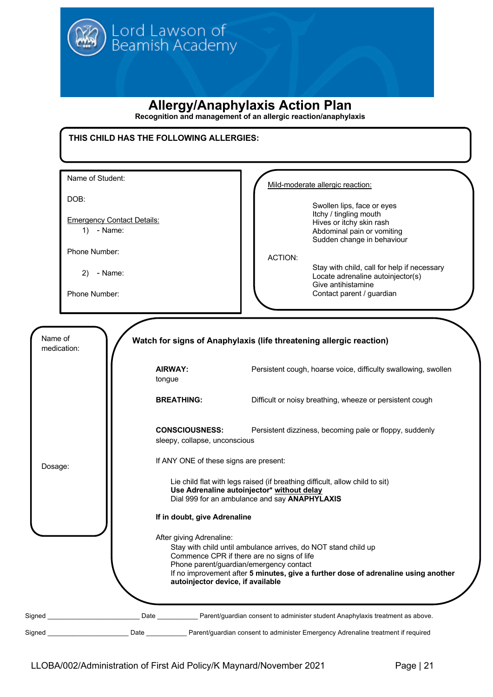# **Allergy/Anaphylaxis Action Plan**

**Recognition and management of an allergic reaction/anaphylaxis**

| DOB:<br><b>Emergency Contact Details:</b><br>$1)$ - Name: |                                                        | Mild-moderate allergic reaction:<br>Swollen lips, face or eyes<br>Itchy / tingling mouth<br>Hives or itchy skin rash<br>Abdominal pain or vomiting<br>Sudden change in behaviour   |
|-----------------------------------------------------------|--------------------------------------------------------|------------------------------------------------------------------------------------------------------------------------------------------------------------------------------------|
| Phone Number:<br>- Name:<br>2)<br>Phone Number:           |                                                        | <b>ACTION:</b><br>Stay with child, call for help if necessary<br>Locate adrenaline autoinjector(s)<br>Give antihistamine<br>Contact parent / guardian                              |
| Name of<br>medication:                                    | <b>AIRWAY:</b><br>tongue                               | Watch for signs of Anaphylaxis (life threatening allergic reaction)<br>Persistent cough, hoarse voice, difficulty swallowing, swollen                                              |
|                                                           | <b>BREATHING:</b>                                      | Difficult or noisy breathing, wheeze or persistent cough                                                                                                                           |
|                                                           | <b>CONSCIOUSNESS:</b><br>sleepy, collapse, unconscious | Persistent dizziness, becoming pale or floppy, suddenly                                                                                                                            |
| Dosage:                                                   | If ANY ONE of these signs are present:                 |                                                                                                                                                                                    |
|                                                           |                                                        | Lie child flat with legs raised (if breathing difficult, allow child to sit)<br>Use Adrenaline autoinjector* without delay<br>Dial 999 for an ambulance and say <b>ANAPHYLAXIS</b> |
|                                                           | If in doubt, give Adrenaline                           |                                                                                                                                                                                    |
|                                                           | After giving Adrenaline:                               | Stay with child until ambulance arrives, do NOT stand child up                                                                                                                     |